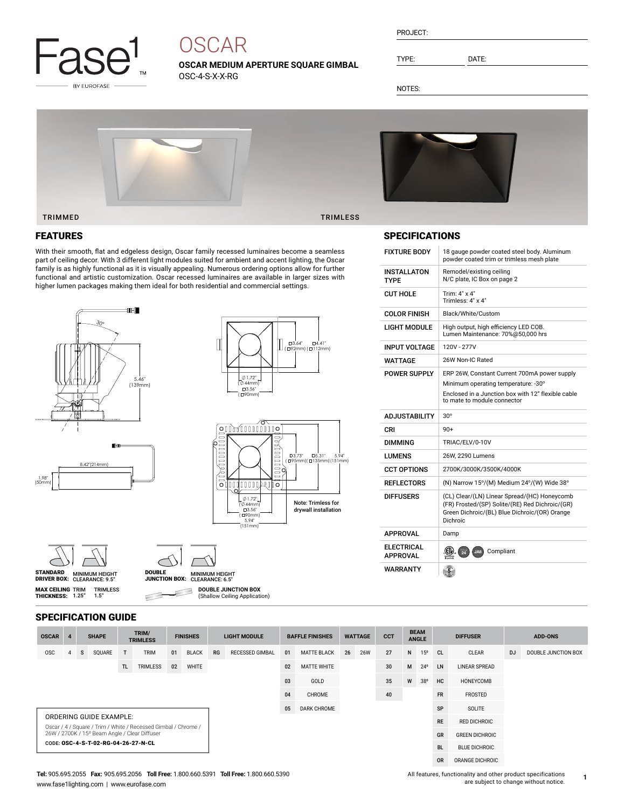

# **OSCAR**

**OSCAR MEDIUM APERTURE SQUARE GIMBAL** OSC-4-S-X-X-RG

| PROJECT: |
|----------|
|----------|

TYPE: DATE:

NOTES:



## FEATURES

With their smooth, flat and edgeless design, Oscar family recessed luminaires become a seamless part of ceiling decor. With 3 different light modules suited for ambient and accent lighting, the Oscar family is as highly functional as it is visually appealing. Numerous ordering options allow for further functional and artistic customization. Oscar recessed luminaires are available in larger sizes with higher lumen packages making them ideal for both residential and commercial settings.





□3.64" □4.41"<br>(□92mm) (□112mm)

|  | 000000PC                                           |  |                                                   |
|--|----------------------------------------------------|--|---------------------------------------------------|
|  | $01.72$ "<br>$044$ mm<br>□3.56"<br>□90mml<br>5.94" |  | <b>Note: Trimless for</b><br>drywall installation |
|  | 151mm                                              |  |                                                   |



**MAX CEILING** TRIM<br>**THICKNESS:** 1.25"



 $\subset$ 

**DOUBLE JUNCTION BOX** 3 (Shallow Ceiling Application)



## SPECIFICATIONS

| <b>FIXTURE BODY</b>                               | 18 gauge powder coated steel body. Aluminum<br>powder coated trim or trimless mesh plate                                                                     |
|---------------------------------------------------|--------------------------------------------------------------------------------------------------------------------------------------------------------------|
| INSTALLATON<br>TYPF                               | Remodel/existing ceiling<br>N/C plate, IC Box on page 2                                                                                                      |
| <b>CUT HOLE</b>                                   | Trim: 4" x 4"<br>Trimless: 4" x 4"                                                                                                                           |
| <b>COLOR FINISH</b>                               | Black/White/Custom                                                                                                                                           |
| LIGHT MODULE                                      | High output, high efficiency LED COB.<br>Lumen Maintenance: 70%@50,000 hrs                                                                                   |
| INPUT VOLTAGE                                     | 120V - 277V                                                                                                                                                  |
| WATTAGE                                           | 26W Non-IC Rated                                                                                                                                             |
| <b>POWER SUPPLY</b>                               | ERP 26W, Constant Current 700mA power supply                                                                                                                 |
|                                                   | Minimum operating temperature: -30°                                                                                                                          |
|                                                   | Enclosed in a Junction box with 12" flexible cable<br>to mate to module connector                                                                            |
|                                                   |                                                                                                                                                              |
| <b>ADJUSTABILITY</b>                              | $30^{\circ}$                                                                                                                                                 |
| CRI                                               | $90+$                                                                                                                                                        |
| DIMMING                                           | TRIAC/ELV/0-10V                                                                                                                                              |
|                                                   | 26W, 2290 Lumens                                                                                                                                             |
|                                                   | 2700K/3000K/3500K/4000K                                                                                                                                      |
| LUMENS<br><b>CCT OPTIONS</b><br><b>REFLECTORS</b> | (N) Narrow 15°/(M) Medium 24°/(W) Wide 38°                                                                                                                   |
| <b>DIFFUSERS</b>                                  | (CL) Clear/(LN) Linear Spread/(HC) Honeycomb<br>(FR) Frosted/(SP) Solite/(RE) Red Dichroic/(GR)<br>Green Dichroic/(BL) Blue Dichroic/(OR) Orange<br>Dichroic |
| <b>APPROVAL</b>                                   | Damp                                                                                                                                                         |
| <b>ELECTRICAL</b><br><b>APPROVAL</b>              | (印)<br>Compliant<br>$\frac{1}{24}$<br>JA8                                                                                                                    |

#### SPECIFICATION GUIDE

TRIMLESS 1.5"

| <b>OSCAR</b>                                                                                                    |                                |   | <b>SHAPE</b> |    | TRIM/<br><b>TRIMLESS</b> |    | <b>FINISHES</b>    |        | <b>LIGHT MODULE</b>    |              | <b>BAFFLE FINISHES</b> |               | <b>WATTAGE</b> | <b>CCT</b>           | <b>BEAM</b><br><b>ANGLE</b> |              | <b>DIFFUSER</b> |       | <b>ADD-ONS</b> |                     |
|-----------------------------------------------------------------------------------------------------------------|--------------------------------|---|--------------|----|--------------------------|----|--------------------|--------|------------------------|--------------|------------------------|---------------|----------------|----------------------|-----------------------------|--------------|-----------------|-------|----------------|---------------------|
| <b>OSC</b>                                                                                                      | 4                              | s | SQUARE       | T  | <b>TRIM</b>              | 01 | <b>BLACK</b>       | RG     | <b>RECESSED GIMBAL</b> | 01           | <b>MATTE BLACK</b>     | 26            | <b>26W</b>     | 27                   | N                           | $15^{\circ}$ | CL.             | CLEAR | <b>DJ</b>      | DOUBLE JUNCTION BOX |
|                                                                                                                 | TRIMLESS<br>TL.<br>WHITE<br>02 |   |              | 02 | <b>MATTE WHITE</b>       |    |                    | 30     | M                      | $24^{\circ}$ | <b>LN</b>              | LINEAR SPREAD |                |                      |                             |              |                 |       |                |                     |
|                                                                                                                 |                                |   |              |    |                          |    | 03                 | GOLD   |                        |              | 35                     | W             | 38°            | HC                   | <b>HONEYCOMB</b>            |              |                 |       |                |                     |
|                                                                                                                 |                                |   |              |    |                          |    | 04                 | CHROME |                        |              | 40                     |               |                | <b>FR</b>            | FROSTED                     |              |                 |       |                |                     |
|                                                                                                                 |                                |   |              |    |                          | 05 | <b>DARK CHROME</b> |        |                        |              |                        |               | <b>SP</b>      | SOLITE               |                             |              |                 |       |                |                     |
|                                                                                                                 | ORDERING GUIDE EXAMPLE:        |   |              |    |                          |    |                    |        |                        |              |                        |               | <b>RE</b>      | <b>RED DICHROIC</b>  |                             |              |                 |       |                |                     |
| Oscar / 4 / Square / Trim / White / Recessed Gimbal / Chrome /<br>26W / 2700K / 15° Beam Angle / Clear Diffuser |                                |   |              |    |                          |    |                    |        |                        |              |                        |               |                | GR                   | <b>GREEN DICHROIC</b>       |              |                 |       |                |                     |
| CODE: OSC-4-S-T-02-RG-04-26-27-N-CL                                                                             |                                |   |              |    |                          |    |                    |        |                        |              |                        |               | <b>BL</b>      | <b>BLUE DICHROIC</b> |                             |              |                 |       |                |                     |
|                                                                                                                 |                                |   |              |    |                          |    |                    |        |                        |              |                        |               |                | <b>OR</b>            | ORANGE DICHROIC             |              |                 |       |                |                     |

#### **Tel:** 905.695.2055 **Fax:** 905.695.2056 **Toll Free:** 1.800.660.5391 **Toll Free:** 1.800.660.5390 www.fase1lighting.com | www.eurofase.com

All features, functionality and other product specifications are subject to change without notice.

**1**